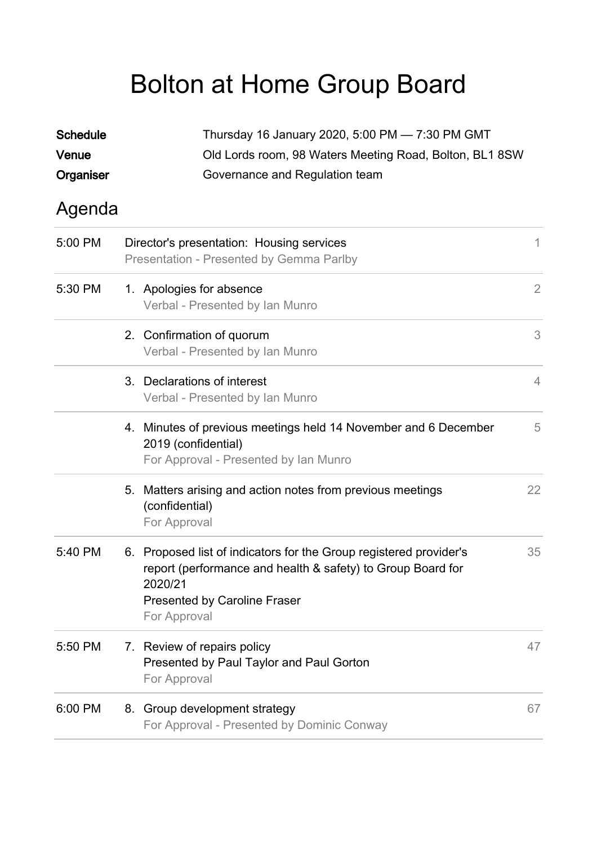## Bolton at Home Group Board

| <b>Schedule</b><br>Venue<br>Organiser | Thursday 16 January 2020, 5:00 PM - 7:30 PM GMT<br>Old Lords room, 98 Waters Meeting Road, Bolton, BL1 8SW<br>Governance and Regulation team                                                        |                |
|---------------------------------------|-----------------------------------------------------------------------------------------------------------------------------------------------------------------------------------------------------|----------------|
| Agenda                                |                                                                                                                                                                                                     |                |
| 5:00 PM                               | Director's presentation: Housing services<br>Presentation - Presented by Gemma Parlby                                                                                                               | 1.             |
| 5:30 PM                               | 1. Apologies for absence<br>Verbal - Presented by Ian Munro                                                                                                                                         | $\overline{2}$ |
|                                       | 2. Confirmation of quorum<br>Verbal - Presented by Ian Munro                                                                                                                                        | 3              |
|                                       | 3. Declarations of interest<br>Verbal - Presented by Ian Munro                                                                                                                                      | $\overline{4}$ |
|                                       | 4. Minutes of previous meetings held 14 November and 6 December<br>2019 (confidential)<br>For Approval - Presented by Ian Munro                                                                     | 5              |
|                                       | 5. Matters arising and action notes from previous meetings<br>(confidential)<br>For Approval                                                                                                        | 22             |
| 5:40 PM                               | 6. Proposed list of indicators for the Group registered provider's<br>report (performance and health & safety) to Group Board for<br>2020/21<br><b>Presented by Caroline Fraser</b><br>For Approval | 35             |
| 5:50 PM                               | 7. Review of repairs policy<br>Presented by Paul Taylor and Paul Gorton<br>For Approval                                                                                                             | 47             |
| 6:00 PM                               | 8. Group development strategy<br>For Approval - Presented by Dominic Conway                                                                                                                         | 67             |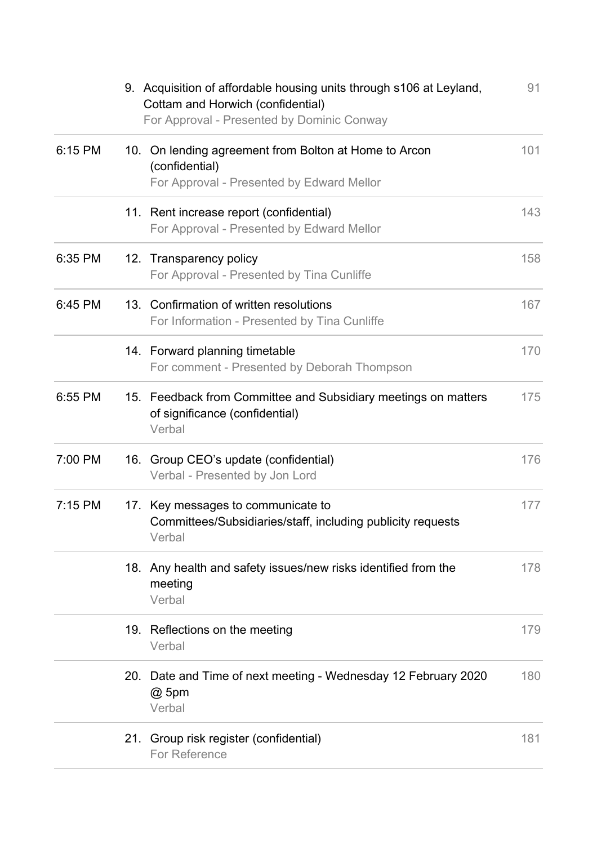|         |     | 9. Acquisition of affordable housing units through s106 at Leyland,<br>Cottam and Horwich (confidential)             | 91  |
|---------|-----|----------------------------------------------------------------------------------------------------------------------|-----|
|         |     | For Approval - Presented by Dominic Conway                                                                           |     |
| 6:15 PM |     | 10. On lending agreement from Bolton at Home to Arcon<br>(confidential)<br>For Approval - Presented by Edward Mellor | 101 |
|         |     |                                                                                                                      |     |
|         |     | 11. Rent increase report (confidential)<br>For Approval - Presented by Edward Mellor                                 | 143 |
| 6:35 PM |     | 12. Transparency policy<br>For Approval - Presented by Tina Cunliffe                                                 | 158 |
| 6:45 PM |     | 13. Confirmation of written resolutions<br>For Information - Presented by Tina Cunliffe                              | 167 |
|         |     | 14. Forward planning timetable<br>For comment - Presented by Deborah Thompson                                        | 170 |
| 6:55 PM |     | 15. Feedback from Committee and Subsidiary meetings on matters<br>of significance (confidential)<br>Verbal           | 175 |
| 7:00 PM |     | 16. Group CEO's update (confidential)<br>Verbal - Presented by Jon Lord                                              | 176 |
| 7:15 PM | 17. | Key messages to communicate to<br>Committees/Subsidiaries/staff, including publicity requests<br>Verbal              | 177 |
|         |     | 18. Any health and safety issues/new risks identified from the<br>meeting<br>Verbal                                  | 178 |
|         |     | 19. Reflections on the meeting<br>Verbal                                                                             | 179 |
|         |     | 20. Date and Time of next meeting - Wednesday 12 February 2020<br>@ 5pm<br>Verbal                                    | 180 |
|         | 21. | Group risk register (confidential)<br>For Reference                                                                  | 181 |